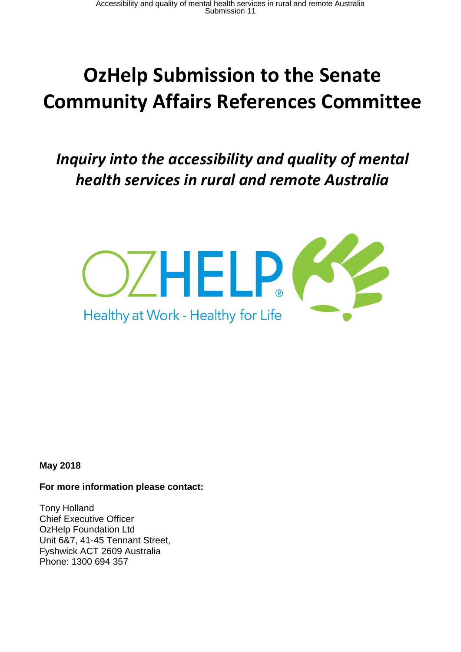# **OzHelp Submission to the Senate Community Affairs References Committee**

## *Inquiry into the accessibility and quality of mental health services in rural and remote Australia*



**May 2018**

#### **For more information please contact:**

Tony Holland Chief Executive Officer OzHelp Foundation Ltd Unit 6&7, 41-45 Tennant Street, Fyshwick ACT 2609 Australia Phone: 1300 694 357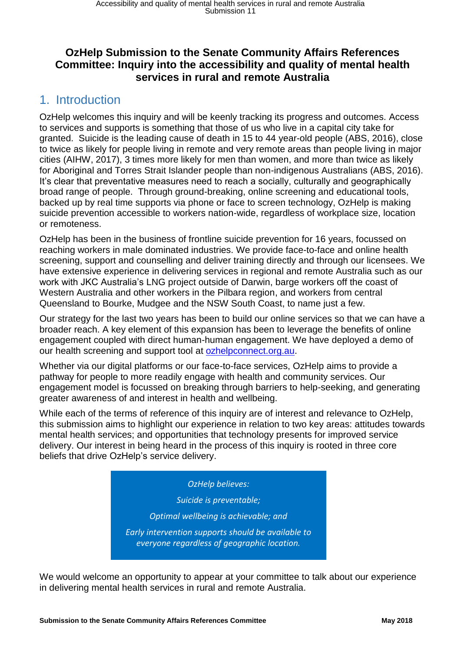#### **OzHelp Submission to the Senate Community Affairs References Committee: Inquiry into the accessibility and quality of mental health services in rural and remote Australia**

### 1. Introduction

OzHelp welcomes this inquiry and will be keenly tracking its progress and outcomes. Access to services and supports is something that those of us who live in a capital city take for granted. Suicide is the leading cause of death in 15 to 44 year-old people (ABS, 2016), close to twice as likely for people living in remote and very remote areas than people living in major cities (AIHW, 2017), 3 times more likely for men than women, and more than twice as likely for Aboriginal and Torres Strait Islander people than non-indigenous Australians (ABS, 2016). It's clear that preventative measures need to reach a socially, culturally and geographically broad range of people. Through ground-breaking, online screening and educational tools, backed up by real time supports via phone or face to screen technology, OzHelp is making suicide prevention accessible to workers nation-wide, regardless of workplace size, location or remoteness.

OzHelp has been in the business of frontline suicide prevention for 16 years, focussed on reaching workers in male dominated industries. We provide face-to-face and online health screening, support and counselling and deliver training directly and through our licensees. We have extensive experience in delivering services in regional and remote Australia such as our work with JKC Australia's LNG project outside of Darwin, barge workers off the coast of Western Australia and other workers in the Pilbara region, and workers from central Queensland to Bourke, Mudgee and the NSW South Coast, to name just a few.

Our strategy for the last two years has been to build our online services so that we can have a broader reach. A key element of this expansion has been to leverage the benefits of online engagement coupled with direct human-human engagement. We have deployed a demo of our health screening and support tool at [ozhelpconnect.org.au.](http://www.ozhelpconnect.org.au/)

Whether via our digital platforms or our face-to-face services, OzHelp aims to provide a pathway for people to more readily engage with health and community services. Our engagement model is focussed on breaking through barriers to help-seeking, and generating greater awareness of and interest in health and wellbeing.

While each of the terms of reference of this inquiry are of interest and relevance to OzHelp, this submission aims to highlight our experience in relation to two key areas: attitudes towards mental health services; and opportunities that technology presents for improved service delivery. Our interest in being heard in the process of this inquiry is rooted in three core beliefs that drive OzHelp's service delivery.

#### *OzHelp believes:*

*Suicide is preventable;*

*Optimal wellbeing is achievable; and*

*Early intervention supports should be available to everyone regardless of geographic location.*

We would welcome an opportunity to appear at your committee to talk about our experience in delivering mental health services in rural and remote Australia.

*4*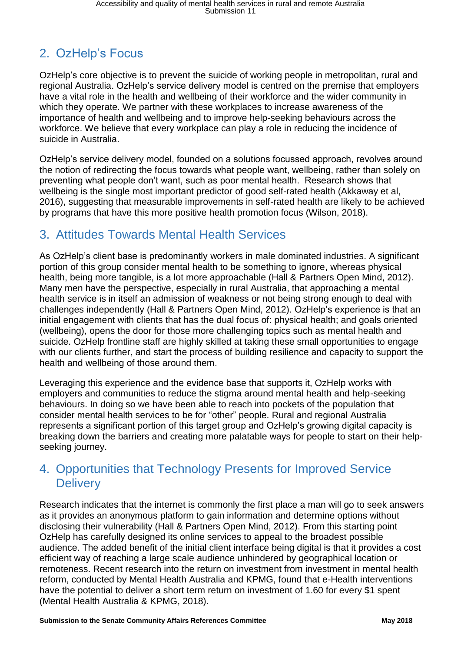## 2. OzHelp's Focus

OzHelp's core objective is to prevent the suicide of working people in metropolitan, rural and regional Australia. OzHelp's service delivery model is centred on the premise that employers have a vital role in the health and wellbeing of their workforce and the wider community in which they operate. We partner with these workplaces to increase awareness of the importance of health and wellbeing and to improve help-seeking behaviours across the workforce. We believe that every workplace can play a role in reducing the incidence of suicide in Australia.

OzHelp's service delivery model, founded on a solutions focussed approach, revolves around the notion of redirecting the focus towards what people want, wellbeing, rather than solely on preventing what people don't want, such as poor mental health. Research shows that wellbeing is the single most important predictor of good self-rated health (Akkaway et al, 2016), suggesting that measurable improvements in self-rated health are likely to be achieved by programs that have this more positive health promotion focus (Wilson, 2018).

## 3. Attitudes Towards Mental Health Services

As OzHelp's client base is predominantly workers in male dominated industries. A significant portion of this group consider mental health to be something to ignore, whereas physical health, being more tangible, is a lot more approachable (Hall & Partners Open Mind, 2012). Many men have the perspective, especially in rural Australia, that approaching a mental health service is in itself an admission of weakness or not being strong enough to deal with challenges independently (Hall & Partners Open Mind, 2012). OzHelp's experience is that an initial engagement with clients that has the dual focus of: physical health; and goals oriented (wellbeing), opens the door for those more challenging topics such as mental health and suicide. OzHelp frontline staff are highly skilled at taking these small opportunities to engage with our clients further, and start the process of building resilience and capacity to support the health and wellbeing of those around them.

Leveraging this experience and the evidence base that supports it, OzHelp works with employers and communities to reduce the stigma around mental health and help-seeking behaviours. In doing so we have been able to reach into pockets of the population that consider mental health services to be for "other" people. Rural and regional Australia represents a significant portion of this target group and OzHelp's growing digital capacity is breaking down the barriers and creating more palatable ways for people to start on their helpseeking journey.

## 4. Opportunities that Technology Presents for Improved Service **Delivery**

Research indicates that the internet is commonly the first place a man will go to seek answers as it provides an anonymous platform to gain information and determine options without disclosing their vulnerability (Hall & Partners Open Mind, 2012). From this starting point OzHelp has carefully designed its online services to appeal to the broadest possible audience. The added benefit of the initial client interface being digital is that it provides a cost efficient way of reaching a large scale audience unhindered by geographical location or remoteness. Recent research into the return on investment from investment in mental health reform, conducted by Mental Health Australia and KPMG, found that e-Health interventions have the potential to deliver a short term return on investment of 1.60 for every \$1 spent (Mental Health Australia & KPMG, 2018).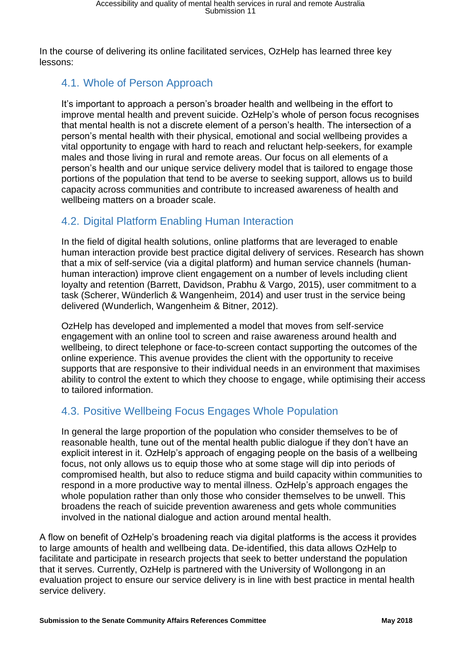In the course of delivering its online facilitated services, OzHelp has learned three key lessons:

#### 4.1. Whole of Person Approach

It's important to approach a person's broader health and wellbeing in the effort to improve mental health and prevent suicide. OzHelp's whole of person focus recognises that mental health is not a discrete element of a person's health. The intersection of a person's mental health with their physical, emotional and social wellbeing provides a vital opportunity to engage with hard to reach and reluctant help-seekers, for example males and those living in rural and remote areas. Our focus on all elements of a person's health and our unique service delivery model that is tailored to engage those portions of the population that tend to be averse to seeking support, allows us to build capacity across communities and contribute to increased awareness of health and wellbeing matters on a broader scale.

#### 4.2. Digital Platform Enabling Human Interaction

In the field of digital health solutions, online platforms that are leveraged to enable human interaction provide best practice digital delivery of services. Research has shown that a mix of self-service (via a digital platform) and human service channels (humanhuman interaction) improve client engagement on a number of levels including client loyalty and retention (Barrett, Davidson, Prabhu & Vargo, 2015), user commitment to a task (Scherer, Wünderlich & Wangenheim, 2014) and user trust in the service being delivered (Wunderlich, Wangenheim & Bitner, 2012).

OzHelp has developed and implemented a model that moves from self-service engagement with an online tool to screen and raise awareness around health and wellbeing, to direct telephone or face-to-screen contact supporting the outcomes of the online experience. This avenue provides the client with the opportunity to receive supports that are responsive to their individual needs in an environment that maximises ability to control the extent to which they choose to engage, while optimising their access to tailored information.

#### 4.3. Positive Wellbeing Focus Engages Whole Population

In general the large proportion of the population who consider themselves to be of reasonable health, tune out of the mental health public dialogue if they don't have an explicit interest in it. OzHelp's approach of engaging people on the basis of a wellbeing focus, not only allows us to equip those who at some stage will dip into periods of compromised health, but also to reduce stigma and build capacity within communities to respond in a more productive way to mental illness. OzHelp's approach engages the whole population rather than only those who consider themselves to be unwell. This broadens the reach of suicide prevention awareness and gets whole communities involved in the national dialogue and action around mental health.

A flow on benefit of OzHelp's broadening reach via digital platforms is the access it provides to large amounts of health and wellbeing data. De-identified, this data allows OzHelp to facilitate and participate in research projects that seek to better understand the population that it serves. Currently, OzHelp is partnered with the University of Wollongong in an evaluation project to ensure our service delivery is in line with best practice in mental health service delivery.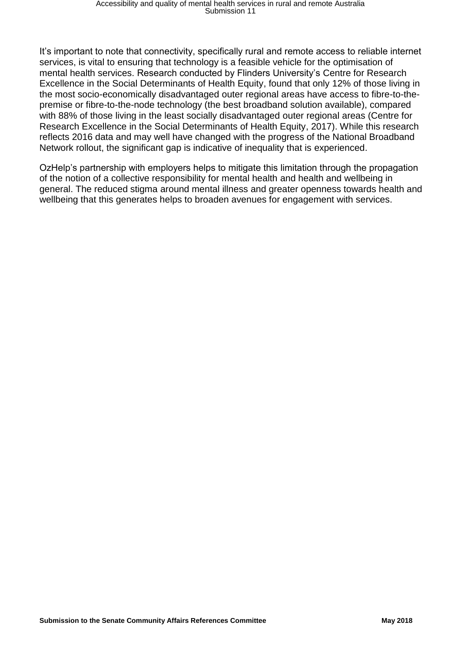It's important to note that connectivity, specifically rural and remote access to reliable internet services, is vital to ensuring that technology is a feasible vehicle for the optimisation of mental health services. Research conducted by Flinders University's Centre for Research Excellence in the Social Determinants of Health Equity, found that only 12% of those living in the most socio-economically disadvantaged outer regional areas have access to fibre-to-thepremise or fibre-to-the-node technology (the best broadband solution available), compared with 88% of those living in the least socially disadvantaged outer regional areas (Centre for Research Excellence in the Social Determinants of Health Equity, 2017). While this research reflects 2016 data and may well have changed with the progress of the National Broadband Network rollout, the significant gap is indicative of inequality that is experienced.

OzHelp's partnership with employers helps to mitigate this limitation through the propagation of the notion of a collective responsibility for mental health and health and wellbeing in general. The reduced stigma around mental illness and greater openness towards health and wellbeing that this generates helps to broaden avenues for engagement with services.